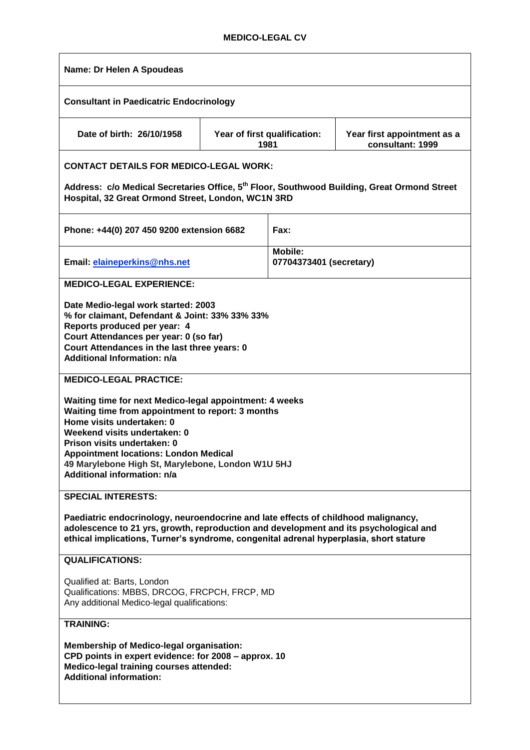# **MEDICO-LEGAL CV**

| Name: Dr Helen A Spoudeas                                                                                                                                                                                                                                                                                                                           |  |                                           |                                                 |
|-----------------------------------------------------------------------------------------------------------------------------------------------------------------------------------------------------------------------------------------------------------------------------------------------------------------------------------------------------|--|-------------------------------------------|-------------------------------------------------|
| <b>Consultant in Paedicatric Endocrinology</b>                                                                                                                                                                                                                                                                                                      |  |                                           |                                                 |
| Date of birth: 26/10/1958                                                                                                                                                                                                                                                                                                                           |  | Year of first qualification:<br>1981      | Year first appointment as a<br>consultant: 1999 |
| <b>CONTACT DETAILS FOR MEDICO-LEGAL WORK:</b>                                                                                                                                                                                                                                                                                                       |  |                                           |                                                 |
| Address: c/o Medical Secretaries Office, 5 <sup>th</sup> Floor, Southwood Building, Great Ormond Street<br>Hospital, 32 Great Ormond Street, London, WC1N 3RD                                                                                                                                                                                       |  |                                           |                                                 |
| Phone: +44(0) 207 450 9200 extension 6682                                                                                                                                                                                                                                                                                                           |  | Fax:                                      |                                                 |
| Email: elaineperkins@nhs.net                                                                                                                                                                                                                                                                                                                        |  | <b>Mobile:</b><br>07704373401 (secretary) |                                                 |
| <b>MEDICO-LEGAL EXPERIENCE:</b>                                                                                                                                                                                                                                                                                                                     |  |                                           |                                                 |
| Date Medio-legal work started: 2003<br>% for claimant, Defendant & Joint: 33% 33% 33%<br>Reports produced per year: 4<br>Court Attendances per year: 0 (so far)<br>Court Attendances in the last three years: 0<br><b>Additional Information: n/a</b>                                                                                               |  |                                           |                                                 |
| <b>MEDICO-LEGAL PRACTICE:</b>                                                                                                                                                                                                                                                                                                                       |  |                                           |                                                 |
| Waiting time for next Medico-legal appointment: 4 weeks<br>Waiting time from appointment to report: 3 months<br>Home visits undertaken: 0<br>Weekend visits undertaken: 0<br>Prison visits undertaken: 0<br><b>Appointment locations: London Medical</b><br>49 Marylebone High St, Marylebone, London W1U 5HJ<br><b>Additional information: n/a</b> |  |                                           |                                                 |
| <b>SPECIAL INTERESTS:</b>                                                                                                                                                                                                                                                                                                                           |  |                                           |                                                 |
| Paediatric endocrinology, neuroendocrine and late effects of childhood malignancy,<br>adolescence to 21 yrs, growth, reproduction and development and its psychological and<br>ethical implications, Turner's syndrome, congenital adrenal hyperplasia, short stature                                                                               |  |                                           |                                                 |
| <b>QUALIFICATIONS:</b>                                                                                                                                                                                                                                                                                                                              |  |                                           |                                                 |
| Qualified at: Barts, London<br>Qualifications: MBBS, DRCOG, FRCPCH, FRCP, MD<br>Any additional Medico-legal qualifications:                                                                                                                                                                                                                         |  |                                           |                                                 |
| <b>TRAINING:</b>                                                                                                                                                                                                                                                                                                                                    |  |                                           |                                                 |
| <b>Membership of Medico-legal organisation:</b><br>CPD points in expert evidence: for 2008 - approx. 10<br>Medico-legal training courses attended:<br><b>Additional information:</b>                                                                                                                                                                |  |                                           |                                                 |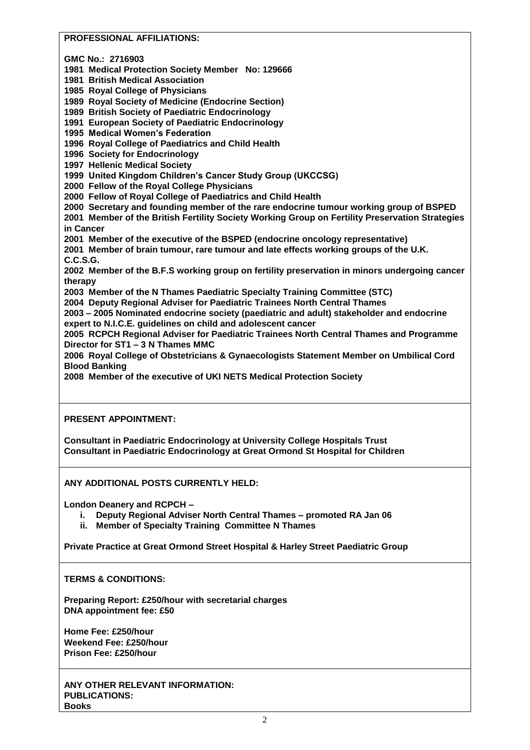## **PROFESSIONAL AFFILIATIONS:**

**GMC No.: 2716903**

**1981 Medical Protection Society Member No: 129666**

**1981 British Medical Association**

**1985 Royal College of Physicians** 

**1989 Royal Society of Medicine (Endocrine Section)**

**1989 British Society of Paediatric Endocrinology**

**1991 European Society of Paediatric Endocrinology**

**1995 Medical Women's Federation**

**1996 Royal College of Paediatrics and Child Health**

**1996 Society for Endocrinology**

**1997 Hellenic Medical Society**

**1999 United Kingdom Children's Cancer Study Group (UKCCSG)**

**2000 Fellow of the Royal College Physicians**

**2000 Fellow of Royal College of Paediatrics and Child Health**

**2000 Secretary and founding member of the rare endocrine tumour working group of BSPED**

**2001 Member of the British Fertility Society Working Group on Fertility Preservation Strategies in Cancer** 

**2001 Member of the executive of the BSPED (endocrine oncology representative)**

**2001 Member of brain tumour, rare tumour and late effects working groups of the U.K. C.C.S.G.**

**2002 Member of the B.F.S working group on fertility preservation in minors undergoing cancer therapy**

**2003 Member of the N Thames Paediatric Specialty Training Committee (STC)**

**2004 Deputy Regional Adviser for Paediatric Trainees North Central Thames**

**2003 – 2005 Nominated endocrine society (paediatric and adult) stakeholder and endocrine expert to N.I.C.E. guidelines on child and adolescent cancer**

**2005 RCPCH Regional Adviser for Paediatric Trainees North Central Thames and Programme Director for ST1 – 3 N Thames MMC**

**2006 Royal College of Obstetricians & Gynaecologists Statement Member on Umbilical Cord Blood Banking**

**2008 Member of the executive of UKI NETS Medical Protection Society**

### **PRESENT APPOINTMENT:**

**Consultant in Paediatric Endocrinology at University College Hospitals Trust Consultant in Paediatric Endocrinology at Great Ormond St Hospital for Children**

### **ANY ADDITIONAL POSTS CURRENTLY HELD:**

**London Deanery and RCPCH –**

- **i. Deputy Regional Adviser North Central Thames – promoted RA Jan 06**
- **ii. Member of Specialty Training Committee N Thames**

**Private Practice at Great Ormond Street Hospital & Harley Street Paediatric Group**

### **TERMS & CONDITIONS:**

**Preparing Report: £250/hour with secretarial charges DNA appointment fee: £50**

**Home Fee: £250/hour Weekend Fee: £250/hour Prison Fee: £250/hour**

**ANY OTHER RELEVANT INFORMATION: PUBLICATIONS: Books**